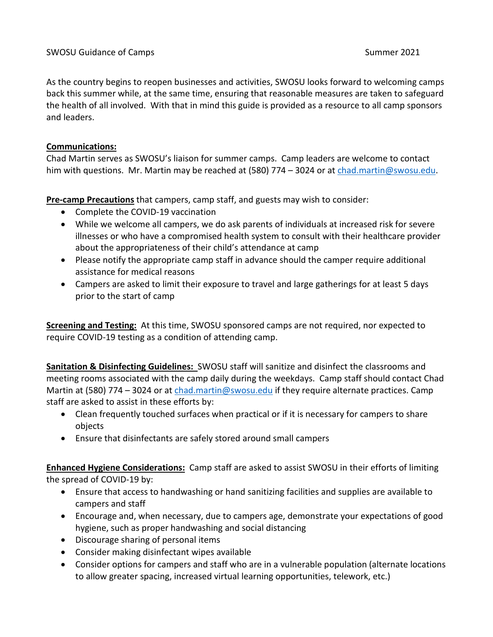As the country begins to reopen businesses and activities, SWOSU looks forward to welcoming camps back this summer while, at the same time, ensuring that reasonable measures are taken to safeguard the health of all involved. With that in mind this guide is provided as a resource to all camp sponsors and leaders.

## **Communications:**

Chad Martin serves as SWOSU's liaison for summer camps. Camp leaders are welcome to contact him with questions. Mr. Martin may be reached at (580) 774 – 3024 or at [chad.martin@swosu.edu.](about:blank)

**Pre-camp Precautions** that campers, camp staff, and guests may wish to consider:

- Complete the COVID-19 vaccination
- While we welcome all campers, we do ask parents of individuals at increased risk for severe illnesses or who have a compromised health system to consult with their healthcare provider about the appropriateness of their child's attendance at camp
- Please notify the appropriate camp staff in advance should the camper require additional assistance for medical reasons
- Campers are asked to limit their exposure to travel and large gatherings for at least 5 days prior to the start of camp

**Screening and Testing:** At this time, SWOSU sponsored camps are not required, nor expected to require COVID-19 testing as a condition of attending camp.

**Sanitation & Disinfecting Guidelines:** SWOSU staff will sanitize and disinfect the classrooms and meeting rooms associated with the camp daily during the weekdays. Camp staff should contact Chad Martin at (580) 774 – 3024 or a[t chad.martin@swosu.edu](about:blank) if they require alternate practices. Camp staff are asked to assist in these efforts by:

- Clean frequently touched surfaces when practical or if it is necessary for campers to share objects
- Ensure that disinfectants are safely stored around small campers

**Enhanced Hygiene Considerations:** Camp staff are asked to assist SWOSU in their efforts of limiting the spread of COVID-19 by:

- Ensure that access to handwashing or hand sanitizing facilities and supplies are available to campers and staff
- Encourage and, when necessary, due to campers age, demonstrate your expectations of good hygiene, such as proper handwashing and social distancing
- Discourage sharing of personal items
- Consider making disinfectant wipes available
- Consider options for campers and staff who are in a vulnerable population (alternate locations to allow greater spacing, increased virtual learning opportunities, telework, etc.)